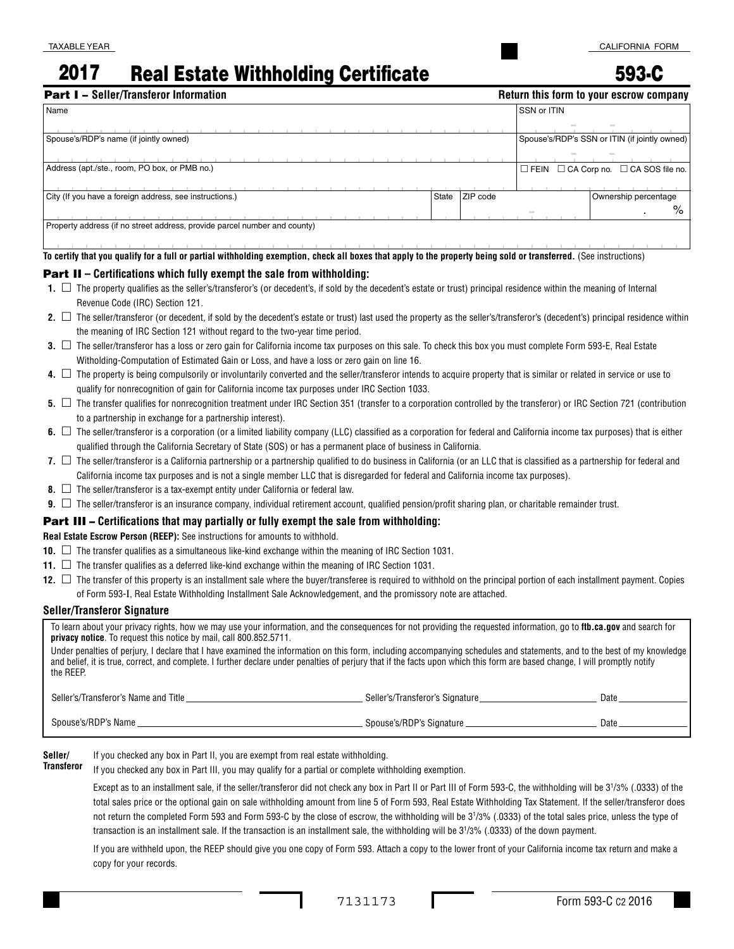# 2017 Real Estate Withholding Certificate

593-C

| <b>Part I - Seller/Transferor Information</b><br>Return this form to your escrow company |       |          |                    |                                                       |
|------------------------------------------------------------------------------------------|-------|----------|--------------------|-------------------------------------------------------|
| Name                                                                                     |       |          | <b>SSN or ITIN</b> |                                                       |
|                                                                                          |       |          |                    |                                                       |
| Spouse's/RDP's name (if jointly owned)                                                   |       |          |                    | Spouse's/RDP's SSN or ITIN (if jointly owned)         |
|                                                                                          |       |          |                    |                                                       |
| Address (apt./ste., room, PO box, or PMB no.)                                            |       |          |                    | $\Box$ FEIN $\Box$ CA Corp no. $\Box$ CA SOS file no. |
|                                                                                          |       |          |                    |                                                       |
| City (If you have a foreign address, see instructions.)                                  | State | ZIP code |                    | Ownership percentage                                  |
|                                                                                          |       |          |                    | %                                                     |
| Property address (if no street address, provide parcel number and county)                |       |          |                    |                                                       |
|                                                                                          |       |          |                    |                                                       |

**To certify that you qualify for a full or partial withholding exemption, check all boxes that apply to the property being sold or transferred.** (See instructions)

#### Part II **– Certifications which fully exempt the sale from withholding:**

- **1.** □ The property qualifies as the seller's/transferor's (or decedent's, if sold by the decedent's estate or trust) principal residence within the meaning of Internal Revenue Code (IRC) Section 121.
- 2. □ The seller/transferor (or decedent, if sold by the decedent's estate or trust) last used the property as the seller's/transferor's (decedent's) principal residence within the meaning of IRC Section 121 without regard to the two-year time period.
- **3.** □ The seller/transferor has a loss or zero gain for California income tax purposes on this sale. To check this box you must complete Form 593-E, Real Estate Witholding-Computation of Estimated Gain or Loss, and have a loss or zero gain on line 16.
- 4. □ The property is being compulsorily or involuntarily converted and the seller/transferor intends to acquire property that is similar or related in service or use to qualify for nonrecognition of gain for California income tax purposes under IRC Section 1033.
- **5.** □ The transfer qualifies for nonrecognition treatment under IRC Section 351 (transfer to a corporation controlled by the transferor) or IRC Section 721 (contribution to a partnership in exchange for a partnership interest).
- 6. □ The seller/transferor is a corporation (or a limited liability company (LLC) classified as a corporation for federal and California income tax purposes) that is either qualified through the California Secretary of State (SOS) or has a permanent place of business in California.
- **7.**  $\Box$  The seller/transferor is a California partnership or a partnership qualified to do business in California (or an LLC that is classified as a partnership for federal and California income tax purposes and is not a single member LLC that is disregarded for federal and California income tax purposes).
- **8.** □ The seller/transferor is a tax-exempt entity under California or federal law.
- **9.** □ The seller/transferor is an insurance company, individual retirement account, qualified pension/profit sharing plan, or charitable remainder trust.

#### Part III – **Certifications that may partially or fully exempt the sale from withholding:**

**Real Estate Escrow Person (REEP):** See instructions for amounts to withhold.

- **10.**  $\Box$  The transfer qualifies as a simultaneous like-kind exchange within the meaning of IRC Section 1031.
- **11.** □ The transfer qualifies as a deferred like-kind exchange within the meaning of IRC Section 1031.
- **12.** □ The transfer of this property is an installment sale where the buyer/transferee is required to withhold on the principal portion of each installment payment. Copies of Form 593-I, Real Estate Withholding Installment Sale Acknowledgement, and the promissory note are attached.

#### **Seller/Transferor Signature**

To learn about your privacy rights, how we may use your information, and the consequences for not providing the requested information, go to **ftb.ca.gov** and search for **privacy notice**. To request this notice by mail, call 800.852.5711.

Under penalties of perjury, I declare that I have examined the information on this form, including accompanying schedules and statements, and to the best of my knowledge and belief, it is true, correct, and complete. I further declare under penalties of perjury that if the facts upon which this form are based change, I will promptly notify the REEP.

| Seller's/Transferor's Name and Title | Seller's/Transferor's Signature | Date |
|--------------------------------------|---------------------------------|------|
| Spouse's/RDP's Name                  | Spouse's/RDP's Signature        | Date |

**l** If you checked any box in Part II, you are exempt from real estate withholding. Seller/ **Transferor**

If you checked any box in Part III, you may qualify for a partial or complete withholding exemption.

Except as to an installment sale, if the seller/transferor did not check any box in Part II or Part III of Form 593-C, the withholding will be 31 /3% (.0333) of the total sales price or the optional gain on sale withholding amount from line 5 of Form 593, Real Estate Withholding Tax Statement. If the seller/transferor does not return the completed Form 593 and Form 593-C by the close of escrow, the withholding will be 31 /3% (.0333) of the total sales price, unless the type of transaction is an installment sale. If the transaction is an installment sale, the withholding will be 31 /3% (.0333) of the down payment.

If you are withheld upon, the REEP should give you one copy of Form 593. Attach a copy to the lower front of your California income tax return and make a copy for your records.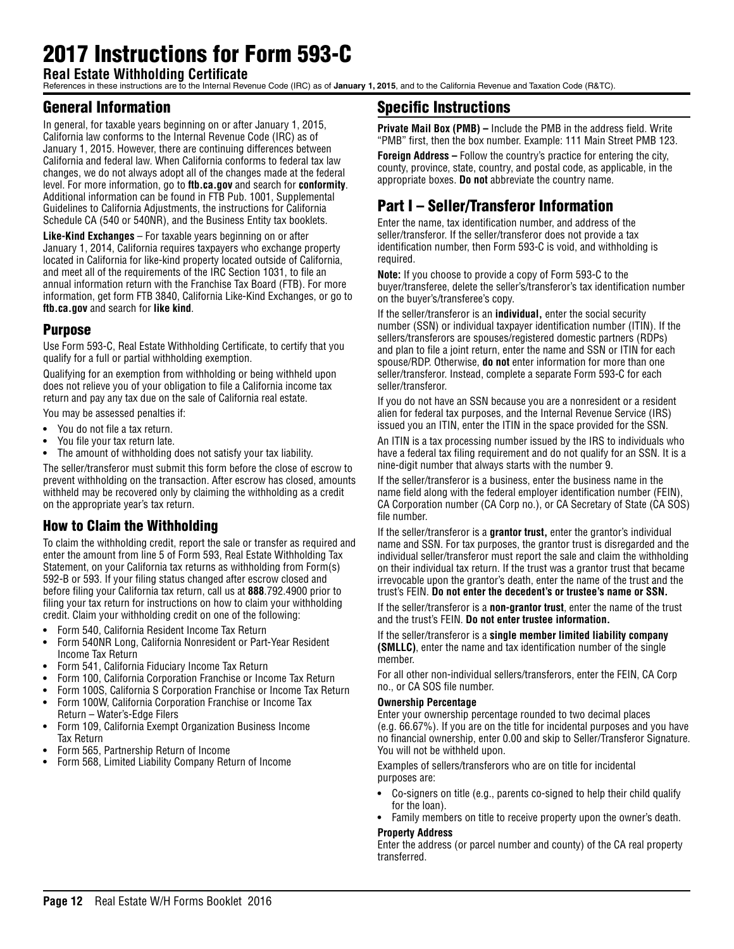# 2017 Instructions for Form 593-C

**Real Estate Withholding Certificate** References in these instructions are to the Internal Revenue Code (IRC) as of **January 1, 2015**, and to the California Revenue and Taxation Code (R&TC).

# General Information

In general, for taxable years beginning on or after January 1, 2015, California law conforms to the Internal Revenue Code (IRC) as of January 1, 2015. However, there are continuing differences between California and federal law. When California conforms to federal tax law changes, we do not always adopt all of the changes made at the federal level. For more information, go to **ftb.ca.gov** and search for **conformity**. Additional information can be found in FTB Pub. 1001, Supplemental Guidelines to California Adjustments, the instructions for California Schedule CA (540 or 540NR), and the Business Entity tax booklets.

**Like-Kind Exchanges** – For taxable years beginning on or after January 1, 2014, California requires taxpayers who exchange property located in California for like-kind property located outside of California, and meet all of the requirements of the IRC Section 1031, to file an annual information return with the Franchise Tax Board (FTB). For more information, get form FTB 3840, California Like-Kind Exchanges, or go to **ftb.ca.gov** and search for **like kind**.

### Purpose

Use Form 593-C, Real Estate Withholding Certificate, to certify that you qualify for a full or partial withholding exemption.

Qualifying for an exemption from withholding or being withheld upon does not relieve you of your obligation to file a California income tax return and pay any tax due on the sale of California real estate.

You may be assessed penalties if:

- **•** You do not file a tax return.
- **•** You file your tax return late.
- **•** The amount of withholding does not satisfy your tax liability.

The seller/transferor must submit this form before the close of escrow to prevent withholding on the transaction. After escrow has closed, amounts withheld may be recovered only by claiming the withholding as a credit on the appropriate year's tax return.

# How to Claim the Withholding

To claim the withholding credit, report the sale or transfer as required and enter the amount from line 5 of Form 593, Real Estate Withholding Tax Statement, on your California tax returns as withholding from Form(s) 592-B or 593. If your filing status changed after escrow closed and before filing your California tax return, call us at **888**.792.4900 prior to filing your tax return for instructions on how to claim your withholding credit. Claim your withholding credit on one of the following:

- **•** Form 540, California Resident Income Tax Return
- **•** Form 540NR Long, California Nonresident or Part-Year Resident Income Tax Return
- **•** Form 541, California Fiduciary Income Tax Return
- **•** Form 100, California Corporation Franchise or Income Tax Return
- **•** Form 100S, California S Corporation Franchise or Income Tax Return **•** Form 100W, California Corporation Franchise or Income Tax
- Return Water's-Edge Filers **•** Form 109, California Exempt Organization Business Income Tax Return
- **•** Form 565, Partnership Return of Income
- **•** Form 568, Limited Liability Company Return of Income

# Specific Instructions

**Private Mail Box (PMB) –** Include the PMB in the address field. Write "PMB" first, then the box number. Example: 111 Main Street PMB 123.

**Foreign Address –** Follow the country's practice for entering the city, county, province, state, country, and postal code, as applicable, in the appropriate boxes. **Do not** abbreviate the country name.

# Part I – Seller/Transferor Information

Enter the name, tax identification number, and address of the seller/transferor. If the seller/transferor does not provide a tax identification number, then Form 593-C is void, and withholding is required.

**Note:** If you choose to provide a copy of Form 593-C to the buyer/transferee, delete the seller's/transferor's tax identification number on the buyer's/transferee's copy.

If the seller/transferor is an **individual,** enter the social security number (SSN) or individual taxpayer identification number (ITIN). If the sellers/transferors are spouses/registered domestic partners (RDPs) and plan to file a joint return, enter the name and SSN or ITIN for each spouse/RDP. Otherwise, **do not** enter information for more than one seller/transferor. Instead, complete a separate Form 593-C for each seller/transferor.

If you do not have an SSN because you are a nonresident or a resident alien for federal tax purposes, and the Internal Revenue Service (IRS) issued you an ITIN, enter the ITIN in the space provided for the SSN.

An ITIN is a tax processing number issued by the IRS to individuals who have a federal tax filing requirement and do not qualify for an SSN. It is a nine-digit number that always starts with the number 9.

If the seller/transferor is a business, enter the business name in the name field along with the federal employer identification number (FEIN), CA Corporation number (CA Corp no.), or CA Secretary of State (CA SOS) file number.

If the seller/transferor is a **grantor trust,** enter the grantor's individual name and SSN. For tax purposes, the grantor trust is disregarded and the individual seller/transferor must report the sale and claim the withholding on their individual tax return. If the trust was a grantor trust that became irrevocable upon the grantor's death, enter the name of the trust and the trust's FEIN. **Do not enter the decedent's or trustee's name or SSN.**

If the seller/transferor is a **non-grantor trust**, enter the name of the trust and the trust's FEIN. **Do not enter trustee information.**

If the seller/transferor is a **single member limited liability company (SMLLC)**, enter the name and tax identification number of the single member.

For all other non-individual sellers/transferors, enter the FEIN, CA Corp no., or CA SOS file number.

### **Ownership Percentage**

Enter your ownership percentage rounded to two decimal places (e.g. 66.67%). If you are on the title for incidental purposes and you have no financial ownership, enter 0.00 and skip to Seller/Transferor Signature. You will not be withheld upon.

Examples of sellers/transferors who are on title for incidental purposes are:

- **•** Co-signers on title (e.g., parents co-signed to help their child qualify for the loan).
- **•** Family members on title to receive property upon the owner's death.

#### **Property Address**

Enter the address (or parcel number and county) of the CA real property transferred.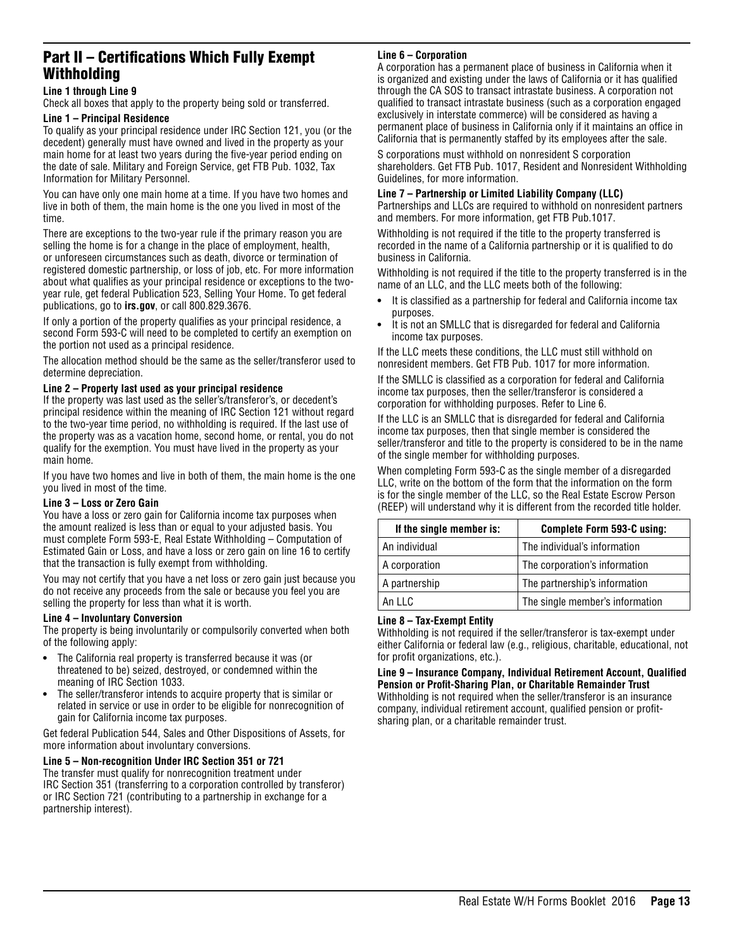## Part II – Certifications Which Fully Exempt Withholding

#### **Line 1 through Line 9**

Check all boxes that apply to the property being sold or transferred.

#### **Line 1 – Principal Residence**

To qualify as your principal residence under IRC Section 121, you (or the decedent) generally must have owned and lived in the property as your main home for at least two years during the five-year period ending on the date of sale. Military and Foreign Service, get FTB Pub. 1032, Tax Information for Military Personnel.

You can have only one main home at a time. If you have two homes and live in both of them, the main home is the one you lived in most of the time.

There are exceptions to the two-year rule if the primary reason you are selling the home is for a change in the place of employment, health, or unforeseen circumstances such as death, divorce or termination of registered domestic partnership, or loss of job, etc. For more information about what qualifies as your principal residence or exceptions to the twoyear rule, get federal Publication 523, Selling Your Home*.* To get federal publications, go to **irs.gov**, or call 800.829.3676.

If only a portion of the property qualifies as your principal residence, a second Form 593-C will need to be completed to certify an exemption on the portion not used as a principal residence.

The allocation method should be the same as the seller/transferor used to determine depreciation.

#### **Line 2 – Property last used as your principal residence**

If the property was last used as the seller's/transferor's, or decedent's principal residence within the meaning of IRC Section 121 without regard to the two-year time period, no withholding is required. If the last use of the property was as a vacation home, second home, or rental, you do not qualify for the exemption. You must have lived in the property as your main home.

If you have two homes and live in both of them, the main home is the one you lived in most of the time.

#### **Line 3 – Loss or Zero Gain**

You have a loss or zero gain for California income tax purposes when the amount realized is less than or equal to your adjusted basis. You must complete Form 593-E, Real Estate Withholding – Computation of Estimated Gain or Loss, and have a loss or zero gain on line 16 to certify that the transaction is fully exempt from withholding.

You may not certify that you have a net loss or zero gain just because you do not receive any proceeds from the sale or because you feel you are selling the property for less than what it is worth.

#### **Line 4 – Involuntary Conversion**

The property is being involuntarily or compulsorily converted when both of the following apply:

- **•** The California real property is transferred because it was (or threatened to be) seized, destroyed, or condemned within the meaning of IRC Section 1033.
- **•** The seller/transferor intends to acquire property that is similar or related in service or use in order to be eligible for nonrecognition of gain for California income tax purposes.

Get federal Publication 544, Sales and Other Dispositions of Assets, for more information about involuntary conversions.

#### **Line 5 – Non-recognition Under IRC Section 351 or 721**

The transfer must qualify for nonrecognition treatment under IRC Section 351 (transferring to a corporation controlled by transferor) or IRC Section 721 (contributing to a partnership in exchange for a partnership interest).

#### **Line 6 – Corporation**

A corporation has a permanent place of business in California when it is organized and existing under the laws of California or it has qualified through the CA SOS to transact intrastate business. A corporation not qualified to transact intrastate business (such as a corporation engaged exclusively in interstate commerce) will be considered as having a permanent place of business in California only if it maintains an office in California that is permanently staffed by its employees after the sale.

S corporations must withhold on nonresident S corporation shareholders. Get FTB Pub. 1017, Resident and Nonresident Withholding Guidelines, for more information.

#### **Line 7 – Partnership or Limited Liability Company (LLC)**

Partnerships and LLCs are required to withhold on nonresident partners and members. For more information, get FTB Pub.1017.

Withholding is not required if the title to the property transferred is recorded in the name of a California partnership or it is qualified to do business in California.

Withholding is not required if the title to the property transferred is in the name of an LLC, and the LLC meets both of the following:

- **•** It is classified as a partnership for federal and California income tax purposes.
- **•** It is not an SMLLC that is disregarded for federal and California income tax purposes.

If the LLC meets these conditions, the LLC must still withhold on nonresident members. Get FTB Pub. 1017 for more information.

If the SMLLC is classified as a corporation for federal and California income tax purposes, then the seller/transferor is considered a corporation for withholding purposes. Refer to Line 6.

If the LLC is an SMLLC that is disregarded for federal and California income tax purposes, then that single member is considered the seller/transferor and title to the property is considered to be in the name of the single member for withholding purposes.

When completing Form 593-C as the single member of a disregarded LLC, write on the bottom of the form that the information on the form is for the single member of the LLC, so the Real Estate Escrow Person (REEP) will understand why it is different from the recorded title holder.

| If the single member is: | Complete Form 593-C using:      |
|--------------------------|---------------------------------|
| An individual            | The individual's information    |
| A corporation            | The corporation's information   |
| A partnership            | The partnership's information   |
| An IIC                   | The single member's information |

#### **Line 8 – Tax-Exempt Entity**

Withholding is not required if the seller/transferor is tax-exempt under either California or federal law (e.g., religious, charitable, educational, not for profit organizations, etc.).

#### **Line 9 – Insurance Company, Individual Retirement Account, Qualified Pension or Profit-Sharing Plan, or Charitable Remainder Trust**

Withholding is not required when the seller/transferor is an insurance company, individual retirement account, qualified pension or profitsharing plan, or a charitable remainder trust.